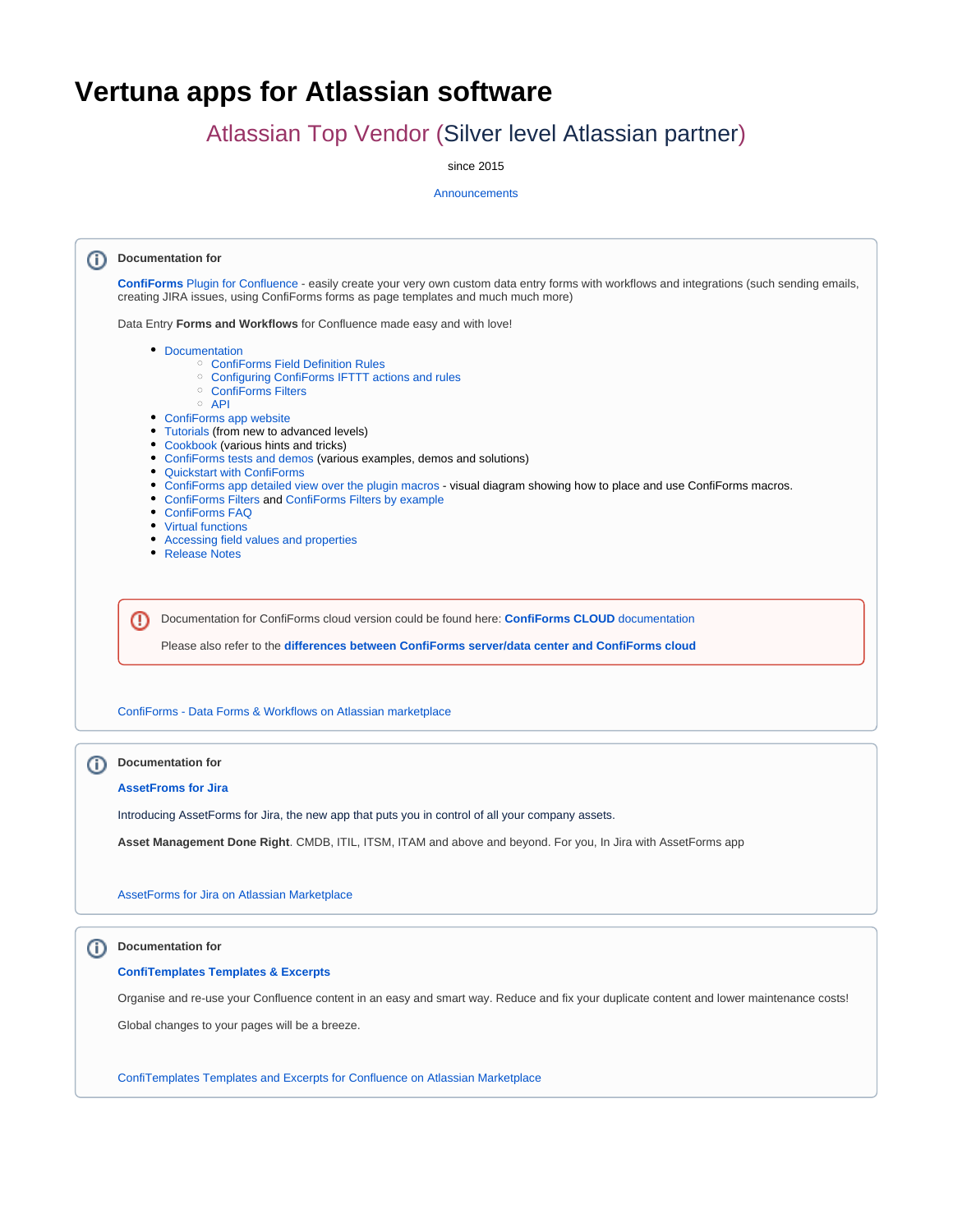## **Vertuna apps for Atlassian software**

## Atlassian Top Vendor (Silver level Atlassian partner)

since 2015

**[Announcements](https://wiki.vertuna.com/display/VERTUNA/Announcements)** 

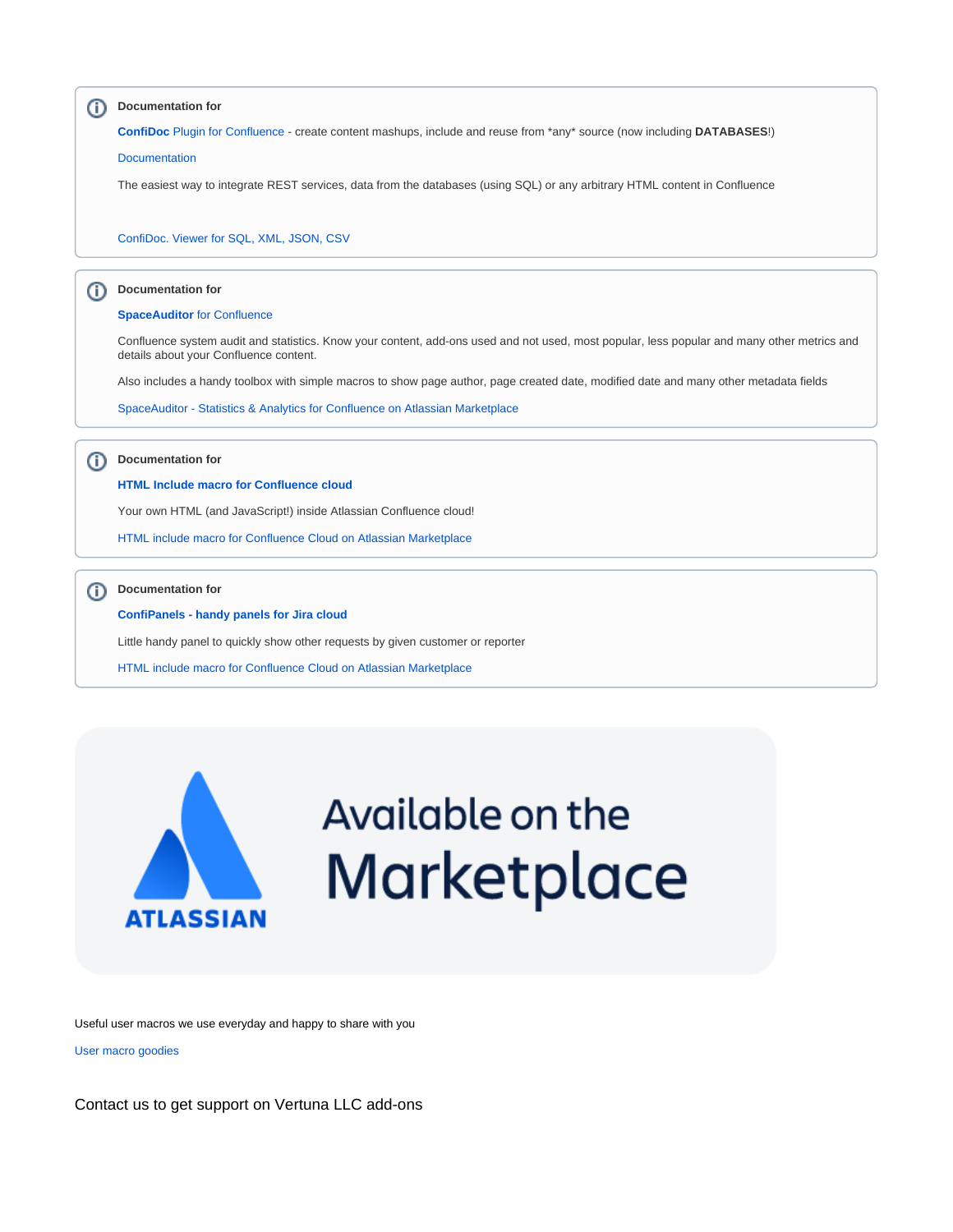



## Available on the **Marketplace**

Useful user macros we use everyday and happy to share with you

[User macro goodies](https://wiki.vertuna.com/display/VERTUNA/User+macro+goodies)

Contact us to get support on Vertuna LLC add-ons